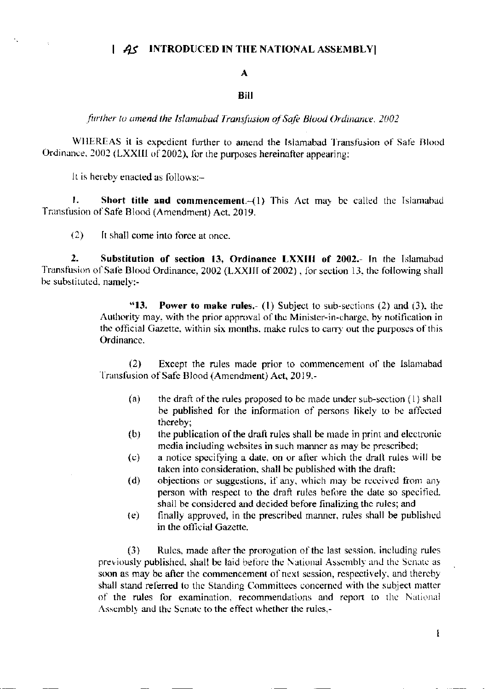## | AS INTRODUCED IN THE NATIONAL ASSEMBLY|

## $\mathbf{A}$

## **Bill**

further to amend the Islamabad Transfusion of Safe Blood Ordinance, 2002

WHEREAS it is expedient further to amend the Islamabad Transfusion of Safe Blood Ordinance, 2002 (LXXIII of 2002), for the purposes hereinafter appearing;

It is hereby enacted as follows:-

Short title and commencement.-(1) This Act may be called the Islamabad 1. Transfusion of Safe Blood (Amendment) Act, 2019.

 $(2)$ It shall come into force at once.

 $2<sub>1</sub>$ Substitution of section 13, Ordinance LXXIII of 2002.- In the Islamabad Transfusion of Safe Blood Ordinance, 2002 (LXXIII of 2002), for section 13, the following shall be substituted, namely:-

> "13. **Power to make rules.** (1) Subject to sub-sections (2) and (3), the Authority may, with the prior approval of the Minister-in-charge, by notification in the official Gazette, within six months, make rules to carry out the purposes of this Ordinance.

> $(2)$ Except the rules made prior to commencement of the Islamabad Transfusion of Safe Blood (Amendment) Act, 2019.-

- $(a)$ the draft of the rules proposed to be made under sub-section  $(1)$  shall be published for the information of persons likely to be affected thereby;
- the publication of the draft rules shall be made in print and electronic  $(b)$ media including websites in such manner as may be prescribed;
- a notice specifying a date, on or after which the draft rules will be  $(c)$ taken into consideration, shall be published with the draft;
- objections or suggestions, if any, which may be received from any  $(d)$ person with respect to the draft rules before the date so specified. shall be considered and decided before finalizing the rules; and
- finally approved, in the prescribed manner, rules shall be published  $(e)$ in the official Gazette.

Rules, made after the prorogation of the last session, including rules  $(3)$ previously published, shall be laid before the National Assembly and the Senate as soon as may be after the commencement of next session, respectively, and thereby shall stand referred to the Standing Committees concerned with the subject matter of the rules for examination, recommendations and report to the National Assembly and the Senate to the effect whether the rules,-